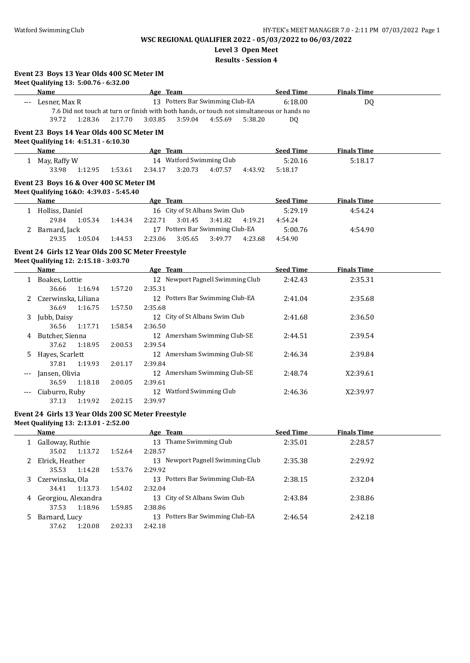**Level 3 Open Meet**

**Results - Session 4**

| Event 23 Boys 13 Year Olds 400 SC Meter IM |  |  |  |  |  |  |  |
|--------------------------------------------|--|--|--|--|--|--|--|
|--------------------------------------------|--|--|--|--|--|--|--|

|          | Meet Qualifying 13: 5:00.76 - 6:32.00              |         |                                                                                            |         |         |                  |                    |  |
|----------|----------------------------------------------------|---------|--------------------------------------------------------------------------------------------|---------|---------|------------------|--------------------|--|
|          | Name                                               |         | Age Team                                                                                   |         |         | <b>Seed Time</b> | <b>Finals Time</b> |  |
|          | --- Lesner, Max R                                  |         | 13 Potters Bar Swimming Club-EA                                                            |         |         | 6:18.00          | DQ                 |  |
|          |                                                    |         | 7.6 Did not touch at turn or finish with both hands, or touch not simultaneous or hands no |         |         |                  |                    |  |
|          | 39.72<br>1:28.36                                   | 2:17.70 | 3:03.85<br>3:59.04                                                                         | 4:55.69 | 5:38.20 | DQ               |                    |  |
|          | Event 23 Boys 14 Year Olds 400 SC Meter IM         |         |                                                                                            |         |         |                  |                    |  |
|          | Meet Qualifying 14: 4:51.31 - 6:10.30              |         |                                                                                            |         |         |                  |                    |  |
|          | <b>Name</b>                                        |         | Age Team                                                                                   |         |         | <b>Seed Time</b> | <b>Finals Time</b> |  |
|          | 1 May, Raffy W                                     |         | 14 Watford Swimming Club                                                                   |         |         | 5:20.16          | 5:18.17            |  |
|          | 33.98<br>1:12.95                                   | 1:53.61 | 2:34.17<br>3:20.73                                                                         | 4:07.57 | 4:43.92 | 5:18.17          |                    |  |
|          | Event 23 Boys 16 & Over 400 SC Meter IM            |         |                                                                                            |         |         |                  |                    |  |
|          | Meet Qualifying 16&0: 4:39.03 - 5:45.40            |         |                                                                                            |         |         |                  |                    |  |
|          | Name                                               |         | Age Team                                                                                   |         |         | <b>Seed Time</b> | <b>Finals Time</b> |  |
|          | 1 Holliss, Daniel                                  |         | 16 City of St Albans Swim Club                                                             |         |         | 5:29.19          | 4:54.24            |  |
|          | 29.84<br>1:05.34                                   | 1:44.34 | 2:22.71<br>3:01.45                                                                         | 3:41.82 | 4:19.21 | 4:54.24          |                    |  |
|          | 2 Barnard, Jack                                    |         | 17 Potters Bar Swimming Club-EA                                                            |         |         | 5:00.76          | 4:54.90            |  |
|          | 29.35<br>1:05.04                                   | 1:44.53 | 2:23.06<br>3:05.65                                                                         | 3:49.77 | 4:23.68 | 4:54.90          |                    |  |
|          | Event 24 Girls 12 Year Olds 200 SC Meter Freestyle |         |                                                                                            |         |         |                  |                    |  |
|          | Meet Qualifying 12: 2:15.18 - 3:03.70              |         |                                                                                            |         |         |                  |                    |  |
|          | Name                                               |         | Age Team                                                                                   |         |         | <b>Seed Time</b> | <b>Finals Time</b> |  |
|          | 1 Boakes, Lottie                                   |         | 12 Newport Pagnell Swimming Club                                                           |         |         | 2:42.43          | 2:35.31            |  |
|          | 36.66<br>1:16.94                                   | 1:57.20 | 2:35.31                                                                                    |         |         |                  |                    |  |
|          | 2 Czerwinska, Liliana                              |         | 12 Potters Bar Swimming Club-EA                                                            |         |         | 2:41.04          | 2:35.68            |  |
|          | 36.69<br>1:16.75                                   | 1:57.50 | 2:35.68                                                                                    |         |         |                  |                    |  |
|          | 3 Jubb, Daisy                                      |         | 12 City of St Albans Swim Club                                                             |         |         | 2:41.68          | 2:36.50            |  |
|          | 36.56<br>1:17.71                                   | 1:58.54 | 2:36.50                                                                                    |         |         |                  |                    |  |
|          | 4 Butcher, Sienna                                  |         | 12 Amersham Swimming Club-SE                                                               |         |         | 2:44.51          | 2:39.54            |  |
|          | 37.62<br>1:18.95                                   | 2:00.53 | 2:39.54                                                                                    |         |         |                  |                    |  |
| 5        | Hayes, Scarlett                                    |         | 12 Amersham Swimming Club-SE                                                               |         |         | 2:46.34          | 2:39.84            |  |
|          | 37.81<br>1:19.93                                   | 2:01.17 | 2:39.84                                                                                    |         |         |                  |                    |  |
| $\cdots$ | Jansen, Olivia                                     |         | 12 Amersham Swimming Club-SE                                                               |         |         | 2:48.74          | X2:39.61           |  |
|          | 36.59<br>1:18.18                                   | 2:00.05 | 2:39.61                                                                                    |         |         |                  |                    |  |
|          | --- Ciaburro, Ruby                                 |         | 12 Watford Swimming Club                                                                   |         |         | 2:46.36          | X2:39.97           |  |
|          | 37.13<br>1:19.92                                   | 2:02.15 | 2:39.97                                                                                    |         |         |                  |                    |  |
|          | Event 24 Girls 13 Year Olds 200 SC Meter Freestyle |         |                                                                                            |         |         |                  |                    |  |
|          | Meet Qualifying 13: 2:13.01 - 2:52.00              |         |                                                                                            |         |         |                  |                    |  |
|          | <b>Name</b>                                        |         | Age Team                                                                                   |         |         | <b>Seed Time</b> | <b>Finals Time</b> |  |
|          | 1 Galloway, Ruthie                                 |         | 13 Thame Swimming Club                                                                     |         |         | 2:35.01          | 2:28.57            |  |

|    | Galloway, Ruthie    |         | 13 Thame Swimming Club              | 2:35.01 | 2:28.57 |  |
|----|---------------------|---------|-------------------------------------|---------|---------|--|
|    | 1:13.72<br>35.02    | 1:52.64 | 2:28.57                             |         |         |  |
|    | Elrick, Heather     |         | Newport Pagnell Swimming Club<br>13 | 2:35.38 | 2:29.92 |  |
|    | 1:14.28<br>35.53    | 1:53.76 | 2:29.92                             |         |         |  |
| 3  | Czerwinska, Ola     |         | Potters Bar Swimming Club-EA<br>13  | 2:38.15 | 2:32.04 |  |
|    | 1:13.73<br>34.41    | 1:54.02 | 2:32.04                             |         |         |  |
| 4  | Georgiou, Alexandra |         | 13 City of St Albans Swim Club      | 2:43.84 | 2:38.86 |  |
|    | 1:18.96<br>37.53    | 1:59.85 | 2:38.86                             |         |         |  |
| 5. | Barnard, Lucy       |         | Potters Bar Swimming Club-EA<br>13  | 2:46.54 | 2:42.18 |  |
|    | 37.62<br>1:20.08    | 2:02.33 | 2:42.18                             |         |         |  |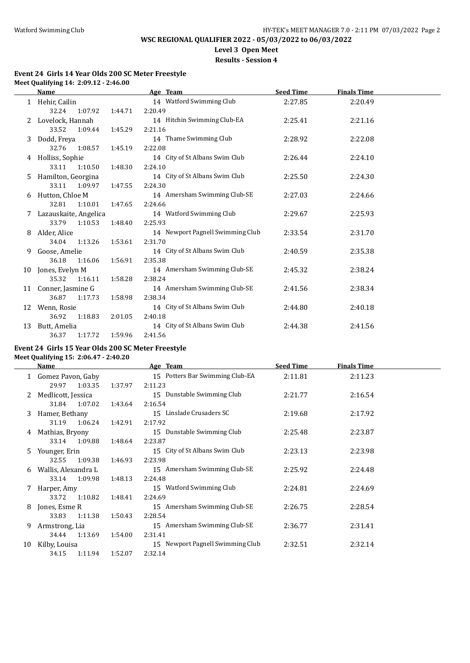# **Level 3 Open Meet**

## **Results - Session 4**

#### **Event 24 Girls 14 Year Olds 200 SC Meter Freestyle Meet Qualifying 14: 2:09.12 - 2:46.00**

|    | Name                  |         |         | Age Team                         | <b>Seed Time</b> | <b>Finals Time</b> |  |
|----|-----------------------|---------|---------|----------------------------------|------------------|--------------------|--|
|    | Hehir, Cailin         |         |         | 14 Watford Swimming Club         | 2:27.85          | 2:20.49            |  |
|    | 32.24                 | 1:07.92 | 1:44.71 | 2:20.49                          |                  |                    |  |
|    | Lovelock, Hannah      |         |         | 14 Hitchin Swimming Club-EA      | 2:25.41          | 2:21.16            |  |
|    | 33.52                 | 1:09.44 | 1:45.29 | 2:21.16                          |                  |                    |  |
| 3  | Dodd, Freya           |         |         | 14 Thame Swimming Club           | 2:28.92          | 2:22.08            |  |
|    | 32.76                 | 1:08.57 | 1:45.19 | 2:22.08                          |                  |                    |  |
| 4  | Holliss, Sophie       |         |         | 14 City of St Albans Swim Club   | 2:26.44          | 2:24.10            |  |
|    | 33.11                 | 1:10.50 | 1:48.30 | 2:24.10                          |                  |                    |  |
| 5  | Hamilton, Georgina    |         |         | 14 City of St Albans Swim Club   | 2:25.50          | 2:24.30            |  |
|    | 33.11                 | 1:09.97 | 1:47.55 | 2:24.30                          |                  |                    |  |
| 6  | Hutton, Chloe M       |         |         | 14 Amersham Swimming Club-SE     | 2:27.03          | 2:24.66            |  |
|    | 32.81                 | 1:10.01 | 1:47.65 | 2:24.66                          |                  |                    |  |
|    | Lazauskaite, Angelica |         |         | 14 Watford Swimming Club         | 2:29.67          | 2:25.93            |  |
|    | 33.79                 | 1:10.53 | 1:48.40 | 2:25.93                          |                  |                    |  |
| 8  | Alder, Alice          |         |         | 14 Newport Pagnell Swimming Club | 2:33.54          | 2:31.70            |  |
|    | 34.04                 | 1:13.26 | 1:53.61 | 2:31.70                          |                  |                    |  |
| 9  | Goose, Amelie         |         |         | 14 City of St Albans Swim Club   | 2:40.59          | 2:35.38            |  |
|    | 36.18                 | 1:16.06 | 1:56.91 | 2:35.38                          |                  |                    |  |
| 10 | Jones, Evelyn M       |         |         | 14 Amersham Swimming Club-SE     | 2:45.32          | 2:38.24            |  |
|    | 35.32                 | 1:16.11 | 1:58.28 | 2:38.24                          |                  |                    |  |
| 11 | Conner, Jasmine G     |         |         | 14 Amersham Swimming Club-SE     | 2:41.56          | 2:38.34            |  |
|    | 36.87                 | 1:17.73 | 1:58.98 | 2:38.34                          |                  |                    |  |
| 12 | Wenn, Rosie           |         |         | 14 City of St Albans Swim Club   | 2:44.80          | 2:40.18            |  |
|    | 36.92                 | 1:18.83 | 2:01.05 | 2:40.18                          |                  |                    |  |
| 13 | Butt, Amelia          |         |         | 14 City of St Albans Swim Club   | 2:44.38          | 2:41.56            |  |
|    | 36.37                 | 1:17.72 | 1:59.96 | 2:41.56                          |                  |                    |  |

#### **Event 24 Girls 15 Year Olds 200 SC Meter Freestyle**

**Meet Qualifying 15: 2:06.47 - 2:40.20**

|    | Name                |         | Age Team                         |         | <b>Finals Time</b> |  |
|----|---------------------|---------|----------------------------------|---------|--------------------|--|
|    | 1 Gomez Pavon, Gaby |         | 15 Potters Bar Swimming Club-EA  | 2:11.81 | 2:11.23            |  |
|    | 1:03.35<br>29.97    | 1:37.97 | 2:11.23                          |         |                    |  |
|    | Medlicott, Jessica  |         | 15 Dunstable Swimming Club       | 2:21.77 | 2:16.54            |  |
|    | 31.84 1:07.02       | 1:43.64 | 2:16.54                          |         |                    |  |
| 3  | Hamer, Bethany      |         | 15 Linslade Crusaders SC         | 2:19.68 | 2:17.92            |  |
|    | 31.19<br>1:06.24    | 1:42.91 | 2:17.92                          |         |                    |  |
| 4  | Mathias, Bryony     |         | 15 Dunstable Swimming Club       | 2:25.48 | 2:23.87            |  |
|    | 33.14<br>1:09.88    | 1:48.64 | 2:23.87                          |         |                    |  |
| 5  | Younger, Erin       |         | 15 City of St Albans Swim Club   | 2:23.13 | 2:23.98            |  |
|    | 32.55<br>1:09.38    | 1:46.93 | 2:23.98                          |         |                    |  |
| 6  | Wallis, Alexandra L |         | 15 Amersham Swimming Club-SE     | 2:25.92 | 2:24.48            |  |
|    | 33.14<br>1:09.98    | 1:48.13 | 2:24.48                          |         |                    |  |
|    | Harper, Amy         |         | 15 Watford Swimming Club         | 2:24.81 | 2:24.69            |  |
|    | 33.72<br>1:10.82    | 1:48.41 | 2:24.69                          |         |                    |  |
| 8  | Jones, Esme R       |         | 15 Amersham Swimming Club-SE     | 2:26.75 | 2:28.54            |  |
|    | 1:11.38<br>33.83    | 1:50.43 | 2:28.54                          |         |                    |  |
| 9  | Armstrong, Lia      |         | 15 Amersham Swimming Club-SE     | 2:36.77 | 2:31.41            |  |
|    | 34.44<br>1:13.69    | 1:54.00 | 2:31.41                          |         |                    |  |
| 10 | Kilby, Louisa       |         | 15 Newport Pagnell Swimming Club | 2:32.51 | 2:32.14            |  |
|    | 1:11.94<br>34.15    | 1:52.07 | 2:32.14                          |         |                    |  |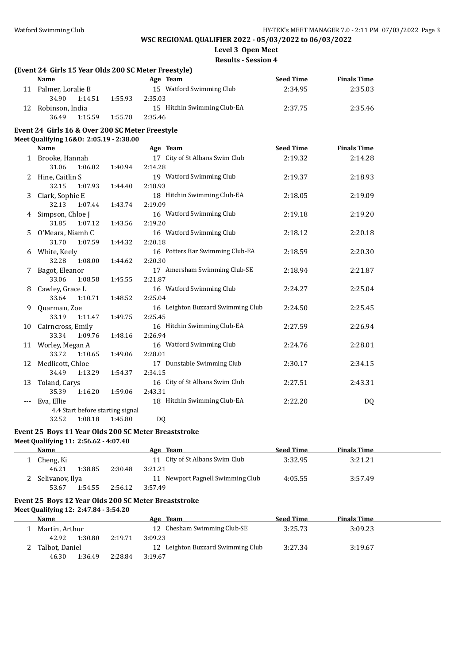**Level 3 Open Meet**

#### **Results - Session 4**

|       | (Event 24 Girls 15 Year Olds 200 SC Meter Freestyle)<br><b>Name</b> |         | Age Team                          | <b>Seed Time</b> | <b>Finals Time</b> |  |
|-------|---------------------------------------------------------------------|---------|-----------------------------------|------------------|--------------------|--|
|       | 11 Palmer, Loralie B                                                |         | 15 Watford Swimming Club          | 2:34.95          | 2:35.03            |  |
|       | 34.90<br>1:14.51                                                    | 1:55.93 | 2:35.03                           |                  |                    |  |
|       | 12 Robinson, India                                                  |         | 15 Hitchin Swimming Club-EA       | 2:37.75          | 2:35.46            |  |
|       | 36.49<br>1:15.59                                                    | 1:55.78 | 2:35.46                           |                  |                    |  |
|       | Event 24 Girls 16 & Over 200 SC Meter Freestyle                     |         |                                   |                  |                    |  |
|       | Meet Qualifying 16&0: 2:05.19 - 2:38.00                             |         |                                   |                  |                    |  |
|       | Name                                                                |         | Age Team                          | <b>Seed Time</b> | <b>Finals Time</b> |  |
|       | 1 Brooke, Hannah                                                    |         | 17 City of St Albans Swim Club    | 2:19.32          | 2:14.28            |  |
|       | 31.06<br>1:06.02                                                    | 1:40.94 | 2:14.28                           |                  |                    |  |
| 2     | Hine, Caitlin S                                                     |         | 19 Watford Swimming Club          | 2:19.37          | 2:18.93            |  |
|       | 32.15<br>1:07.93                                                    | 1:44.40 | 2:18.93                           |                  |                    |  |
| 3     | Clark, Sophie E                                                     |         | 18 Hitchin Swimming Club-EA       | 2:18.05          | 2:19.09            |  |
|       | 32.13<br>1:07.44                                                    | 1:43.74 | 2:19.09                           |                  |                    |  |
| 4     | Simpson, Chloe J                                                    |         | 16 Watford Swimming Club          | 2:19.18          | 2:19.20            |  |
|       | 31.85<br>1:07.12                                                    | 1:43.56 | 2:19.20                           |                  |                    |  |
| 5.    | O'Meara, Niamh C                                                    |         | 16 Watford Swimming Club          | 2:18.12          | 2:20.18            |  |
|       | 31.70<br>1:07.59                                                    | 1:44.32 | 2:20.18                           |                  |                    |  |
| 6     | White, Keely                                                        |         | 16 Potters Bar Swimming Club-EA   | 2:18.59          | 2:20.30            |  |
|       | 32.28<br>1:08.00                                                    | 1:44.62 | 2:20.30                           |                  |                    |  |
| 7     | Bagot, Eleanor                                                      |         | 17 Amersham Swimming Club-SE      | 2:18.94          | 2:21.87            |  |
|       | 33.06<br>1:08.58                                                    | 1:45.55 | 2:21.87                           |                  |                    |  |
| 8     | Cawley, Grace L                                                     |         | 16 Watford Swimming Club          | 2:24.27          | 2:25.04            |  |
|       | 33.64<br>1:10.71                                                    | 1:48.52 | 2:25.04                           |                  |                    |  |
| 9     | Quarman, Zoe                                                        |         | 16 Leighton Buzzard Swimming Club | 2:24.50          | 2:25.45            |  |
|       | 33.19<br>1:11.47                                                    | 1:49.75 | 2:25.45                           |                  |                    |  |
| 10    | Cairncross, Emily                                                   |         | 16 Hitchin Swimming Club-EA       | 2:27.59          | 2:26.94            |  |
|       | 33.34<br>1:09.76                                                    | 1:48.16 | 2:26.94                           |                  |                    |  |
|       | 11 Worley, Megan A                                                  |         | 16 Watford Swimming Club          | 2:24.76          | 2:28.01            |  |
|       | 33.72<br>1:10.65                                                    | 1:49.06 | 2:28.01                           |                  |                    |  |
|       | 12 Medlicott, Chloe                                                 |         | 17 Dunstable Swimming Club        | 2:30.17          | 2:34.15            |  |
|       | 34.49<br>1:13.29                                                    | 1:54.37 | 2:34.15                           |                  |                    |  |
| 13    | Toland, Carys                                                       |         | 16 City of St Albans Swim Club    | 2:27.51          | 2:43.31            |  |
|       | 35.39<br>1:16.20                                                    | 1:59.06 | 2:43.31                           |                  |                    |  |
| $---$ | Eva, Ellie                                                          |         | 18 Hitchin Swimming Club-EA       | 2:22.20          | <b>DQ</b>          |  |
|       | 4.4 Start before starting signal                                    |         |                                   |                  |                    |  |
|       | 32.52<br>1:08.18                                                    | 1:45.80 | D <sub>0</sub>                    |                  |                    |  |

#### **Event 25 Boys 11 Year Olds 200 SC Meter Breaststroke**

**Meet Qualifying 11: 2:56.62 - 4:07.40**

| Name            |         |         | Age Team                         | <b>Seed Time</b> | <b>Finals Time</b> |  |
|-----------------|---------|---------|----------------------------------|------------------|--------------------|--|
| Cheng, Ki       |         |         | 11 City of St Albans Swim Club   | 3:32.95          | 3:21.21            |  |
| 46.21           | 1:38.85 | 2:30.48 | 3:21.21                          |                  |                    |  |
| Selivanov, Ilya |         |         | 11 Newport Pagnell Swimming Club | 4:05.55          | 3:57.49            |  |
| 53.67           | 1:54.55 | 2:56.12 | 3:57.49                          |                  |                    |  |

## **Event 25 Boys 12 Year Olds 200 SC Meter Breaststroke**

**Meet Qualifying 12: 2:47.84 - 3:54.20**

| <b>Name</b>    |         |         | Age Team                          | <b>Seed Time</b> | <b>Finals Time</b> |  |
|----------------|---------|---------|-----------------------------------|------------------|--------------------|--|
| Martin. Arthur |         |         | 12 Chesham Swimming Club-SE       | 3:25.73          | 3:09.23            |  |
| 42.92          | 1:30.80 | 2:19.71 | 3:09.23                           |                  |                    |  |
| Talbot. Daniel |         |         | 12 Leighton Buzzard Swimming Club | 3:27.34          | 3:19.67            |  |
| 46.30          | 1:36.49 | 2:28.84 | 3:19.67                           |                  |                    |  |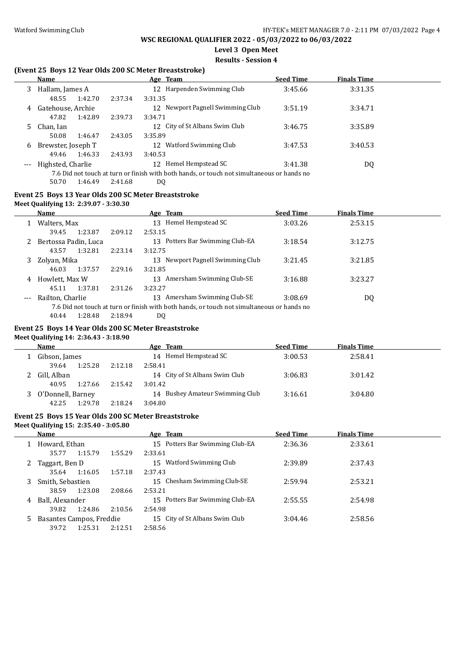## **Level 3 Open Meet**

#### **Results - Session 4**

### **(Event 25 Boys 12 Year Olds 200 SC Meter Breaststroke)**

|    | <b>Name</b>        |         | Age Team                                                                                   | <b>Seed Time</b> | <b>Finals Time</b> |  |
|----|--------------------|---------|--------------------------------------------------------------------------------------------|------------------|--------------------|--|
| 3  | Hallam, James A    |         | 12 Harpenden Swimming Club                                                                 | 3:45.66          | 3:31.35            |  |
|    | 1:42.70<br>48.55   | 2:37.34 | 3:31.35                                                                                    |                  |                    |  |
| 4  | Gatehouse, Archie  |         | 12 Newport Pagnell Swimming Club                                                           | 3:51.19          | 3:34.71            |  |
|    | 47.82<br>1:42.89   | 2:39.73 | 3:34.71                                                                                    |                  |                    |  |
| 5. | Chan, Ian          |         | 12 City of St Albans Swim Club                                                             | 3:46.75          | 3:35.89            |  |
|    | 50.08<br>1:46.47   | 2:43.05 | 3:35.89                                                                                    |                  |                    |  |
| 6  | Brewster, Joseph T |         | Watford Swimming Club<br>12                                                                | 3:47.53          | 3:40.53            |  |
|    | 1:46.33<br>49.46   | 2:43.93 | 3:40.53                                                                                    |                  |                    |  |
|    | Highsted, Charlie  |         | Hemel Hempstead SC<br>12 <sup>1</sup>                                                      | 3:41.38          | DQ                 |  |
|    |                    |         | 7.6 Did not touch at turn or finish with both hands, or touch not simultaneous or hands no |                  |                    |  |
|    | 50.70<br>1:46.49   | 2:41.68 | DQ                                                                                         |                  |                    |  |

#### **Event 25 Boys 13 Year Olds 200 SC Meter Breaststroke**

#### **Meet Qualifying 13: 2:39.07 - 3:30.30**

 $\overline{a}$ 

 $\overline{a}$ 

|       | <b>Name</b>          |         | Age Team                                                                                   | <b>Seed Time</b> | <b>Finals Time</b> |  |
|-------|----------------------|---------|--------------------------------------------------------------------------------------------|------------------|--------------------|--|
|       | Walters, Max         |         | Hemel Hempstead SC<br>13                                                                   | 3:03.26          | 2:53.15            |  |
|       | 1:23.87<br>39.45     | 2:09.12 | 2:53.15                                                                                    |                  |                    |  |
| 2     | Bertossa Padin, Luca |         | Potters Bar Swimming Club-EA<br>13.                                                        | 3:18.54          | 3:12.75            |  |
|       | 1:32.81<br>43.57     | 2:23.14 | 3:12.75                                                                                    |                  |                    |  |
| 3.    | Zolyan, Mika         |         | Newport Pagnell Swimming Club<br>13                                                        | 3:21.45          | 3:21.85            |  |
|       | 46.03<br>1:37.57     | 2:29.16 | 3:21.85                                                                                    |                  |                    |  |
| 4     | Howlett, Max W       |         | Amersham Swimming Club-SE<br>13                                                            | 3:16.88          | 3:23.27            |  |
|       | 1:37.81<br>45.11     | 2:31.26 | 3:23.27                                                                                    |                  |                    |  |
| $---$ | Railton, Charlie     |         | Amersham Swimming Club-SE<br>13                                                            | 3:08.69          | DQ                 |  |
|       |                      |         | 7.6 Did not touch at turn or finish with both hands, or touch not simultaneous or hands no |                  |                    |  |
|       | 1:28.48<br>40.44     | 2:18.94 | DO                                                                                         |                  |                    |  |

#### **Event 25 Boys 14 Year Olds 200 SC Meter Breaststroke**

#### **Meet Qualifying 14: 2:36.43 - 3:18.90**

| Name              |         |         | Age Team                        | <b>Seed Time</b> | <b>Finals Time</b> |  |
|-------------------|---------|---------|---------------------------------|------------------|--------------------|--|
| Gibson, James     |         |         | 14 Hemel Hempstead SC           | 3:00.53          | 2:58.41            |  |
| 39.64             | 1:25.28 | 2:12.18 | 2:58.41                         |                  |                    |  |
| Gill, Alban       |         |         | 14 City of St Albans Swim Club  | 3:06.83          | 3:01.42            |  |
| 40.95             | 1:27.66 | 2:15.42 | 3:01.42                         |                  |                    |  |
| O'Donnell, Barney |         |         | 14 Bushey Amateur Swimming Club | 3:16.61          | 3:04.80            |  |
| 42.25             | 1:29.78 | 2:18.24 | 3:04.80                         |                  |                    |  |

### **Event 25 Boys 15 Year Olds 200 SC Meter Breaststroke**

#### **Meet Qualifying 15: 2:35.40 - 3:05.80**

|    | Name                     |         |         | Age Team                        | <b>Seed Time</b> | <b>Finals Time</b> |  |
|----|--------------------------|---------|---------|---------------------------------|------------------|--------------------|--|
|    | Howard, Ethan            |         |         | 15 Potters Bar Swimming Club-EA | 2:36.36          | 2:33.61            |  |
|    | 35.77                    | 1:15.79 | 1:55.29 | 2:33.61                         |                  |                    |  |
| 2. | Taggart, Ben D           |         |         | Watford Swimming Club<br>15     | 2:39.89          | 2:37.43            |  |
|    | 35.64                    | 1:16.05 | 1:57.18 | 2:37.43                         |                  |                    |  |
| 3. | Smith, Sebastien         |         |         | 15 Chesham Swimming Club-SE     | 2:59.94          | 2:53.21            |  |
|    | 38.59                    | 1:23.08 | 2:08.66 | 2:53.21                         |                  |                    |  |
| 4  | Ball, Alexander          |         |         | 15 Potters Bar Swimming Club-EA | 2:55.55          | 2:54.98            |  |
|    | 39.82                    | 1:24.86 | 2:10.56 | 2:54.98                         |                  |                    |  |
|    | Basantes Campos, Freddie |         |         | 15 City of St Albans Swim Club  | 3:04.46          | 2:58.56            |  |
|    | 39.72                    | 1:25.31 | 2:12.51 | 2:58.56                         |                  |                    |  |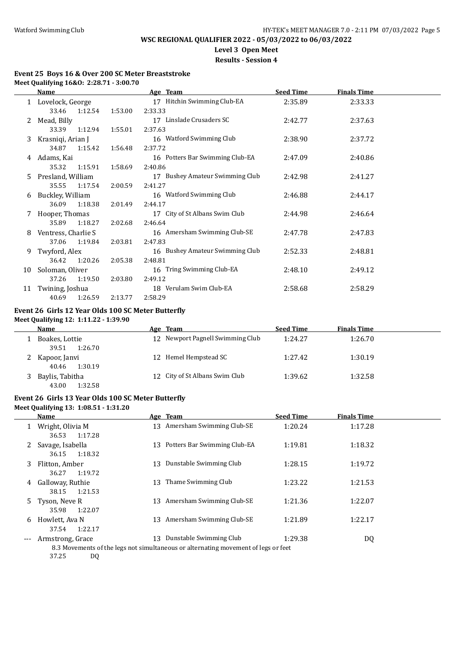## **WSC REGIONAL QUALIFIER 2022 - 05/03/2022 to 06/03/2022**

# **Level 3 Open Meet**

### **Results - Session 4**

#### **Event 25 Boys 16 & Over 200 SC Meter Breaststroke Meet Qualifying 16&O: 2:28.71 - 3:00.70**

|    | <b>Name</b>         |         | Age Team                        | <b>Seed Time</b> | <b>Finals Time</b> |  |
|----|---------------------|---------|---------------------------------|------------------|--------------------|--|
|    | 1 Lovelock, George  |         | 17 Hitchin Swimming Club-EA     | 2:35.89          | 2:33.33            |  |
|    | 1:12.54<br>33.46    | 1:53.00 | 2:33.33                         |                  |                    |  |
|    | Mead, Billy         |         | 17 Linslade Crusaders SC        | 2:42.77          | 2:37.63            |  |
|    | 33.39<br>1:12.94    | 1:55.01 | 2:37.63                         |                  |                    |  |
| 3. | Krasniqi, Arian J   |         | 16 Watford Swimming Club        | 2:38.90          | 2:37.72            |  |
|    | 34.87<br>1:15.42    | 1:56.48 | 2:37.72                         |                  |                    |  |
| 4  | Adams, Kai          |         | 16 Potters Bar Swimming Club-EA | 2:47.09          | 2:40.86            |  |
|    | 35.32<br>1:15.91    | 1:58.69 | 2:40.86                         |                  |                    |  |
| 5. | Presland, William   |         | 17 Bushey Amateur Swimming Club | 2:42.98          | 2:41.27            |  |
|    | 35.55<br>1:17.54    | 2:00.59 | 2:41.27                         |                  |                    |  |
| 6  | Buckley, William    |         | 16 Watford Swimming Club        | 2:46.88          | 2:44.17            |  |
|    | 36.09<br>1:18.38    | 2:01.49 | 2:44.17                         |                  |                    |  |
|    | Hooper, Thomas      |         | 17 City of St Albans Swim Club  | 2:44.98          | 2:46.64            |  |
|    | 35.89<br>1:18.27    | 2:02.68 | 2:46.64                         |                  |                    |  |
| 8  | Ventress, Charlie S |         | 16 Amersham Swimming Club-SE    | 2:47.78          | 2:47.83            |  |
|    | 37.06<br>1:19.84    | 2:03.81 | 2:47.83                         |                  |                    |  |
| 9. | Twyford, Alex       |         | 16 Bushey Amateur Swimming Club | 2:52.33          | 2:48.81            |  |
|    | 36.42<br>1:20.26    | 2:05.38 | 2:48.81                         |                  |                    |  |
| 10 | Soloman, Oliver     |         | 16 Tring Swimming Club-EA       | 2:48.10          | 2:49.12            |  |
|    | 37.26<br>1:19.50    | 2:03.80 | 2:49.12                         |                  |                    |  |
| 11 | Twining, Joshua     |         | 18 Verulam Swim Club-EA         | 2:58.68          | 2:58.29            |  |
|    | 40.69<br>1:26.59    | 2:13.77 | 2:58.29                         |                  |                    |  |

#### **Event 26 Girls 12 Year Olds 100 SC Meter Butterfly Meet Qualifying 12: 1:11.22 - 1:39.90**

| Name                                | Age Team                         | <b>Seed Time</b> | <b>Finals Time</b> |  |
|-------------------------------------|----------------------------------|------------------|--------------------|--|
| Boakes, Lottie<br>1:26.70<br>39.51  | 12 Newport Pagnell Swimming Club | 1:24.27          | 1:26.70            |  |
| Kapoor, Janvi<br>1:30.19<br>40.46   | 12 Hemel Hempstead SC            | 1:27.42          | 1:30.19            |  |
| Baylis, Tabitha<br>1:32.58<br>43.00 | 12 City of St Albans Swim Club   | 1:39.62          | 1:32.58            |  |

## **Event 26 Girls 13 Year Olds 100 SC Meter Butterfly**

**Meet Qualifying 13: 1:08.51 - 1:31.20**

|       | Name                                 |    | Age Team                                                                                                      | <b>Seed Time</b> | <b>Finals Time</b> |  |
|-------|--------------------------------------|----|---------------------------------------------------------------------------------------------------------------|------------------|--------------------|--|
| 1     | Wright, Olivia M<br>1:17.28<br>36.53 | 13 | Amersham Swimming Club-SE                                                                                     | 1:20.24          | 1:17.28            |  |
| 2     | Savage, Isabella<br>1:18.32<br>36.15 | 13 | Potters Bar Swimming Club-EA                                                                                  | 1:19.81          | 1:18.32            |  |
| 3     | Flitton, Amber<br>1:19.72<br>36.27   | 13 | Dunstable Swimming Club                                                                                       | 1:28.15          | 1:19.72            |  |
| 4     | Galloway, Ruthie<br>1:21.53<br>38.15 | 13 | Thame Swimming Club                                                                                           | 1:23.22          | 1:21.53            |  |
| 5.    | Tyson, Neve R<br>35.98<br>1:22.07    | 13 | Amersham Swimming Club-SE                                                                                     | 1:21.36          | 1:22.07            |  |
| 6     | Howlett, Ava N<br>1:22.17<br>37.54   | 13 | Amersham Swimming Club-SE                                                                                     | 1:21.89          | 1:22.17            |  |
| $---$ | Armstrong, Grace                     | 13 | Dunstable Swimming Club<br>8.3 Movements of the legs not simultaneous or alternating movement of legs or feet | 1:29.38          | DQ                 |  |

37.25 DQ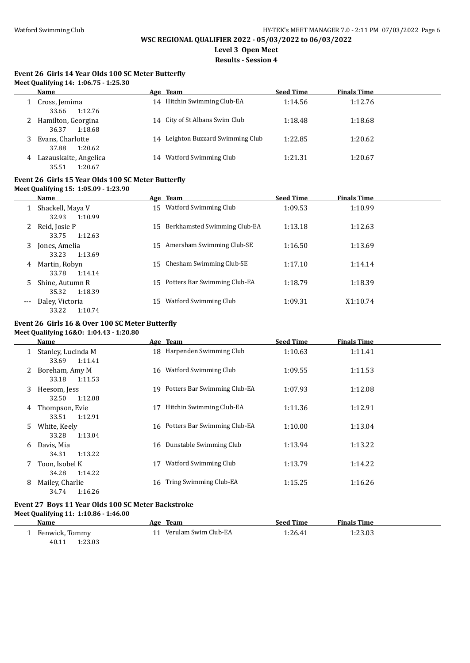**Level 3 Open Meet**

**Results - Session 4**

#### **Event 26 Girls 14 Year Olds 100 SC Meter Butterfly Meet Qualifying 14: 1:06.75 - 1:25.30**

|   | Name                                      |    | Age Team                          | <b>Seed Time</b> | <b>Finals Time</b> |  |
|---|-------------------------------------------|----|-----------------------------------|------------------|--------------------|--|
|   | Cross, Jemima<br>33.66<br>1:12.76         | 14 | Hitchin Swimming Club-EA          | 1:14.56          | 1:12.76            |  |
|   | Hamilton, Georgina<br>36.37<br>1:18.68    |    | 14 City of St Albans Swim Club    | 1:18.48          | 1:18.68            |  |
|   | Evans, Charlotte<br>37.88<br>1:20.62      |    | 14 Leighton Buzzard Swimming Club | 1:22.85          | 1:20.62            |  |
| 4 | Lazauskaite, Angelica<br>35.51<br>1:20.67 | 14 | Watford Swimming Club             | 1:21.31          | 1:20.67            |  |

### **Event 26 Girls 15 Year Olds 100 SC Meter Butterfly**

**Meet Qualifying 15: 1:05.09 - 1:23.90**

|       | Name                                 |     | Age Team                        | <b>Seed Time</b> | <b>Finals Time</b> |  |
|-------|--------------------------------------|-----|---------------------------------|------------------|--------------------|--|
|       | Shackell, Maya V<br>32.93<br>1:10.99 |     | 15 Watford Swimming Club        | 1:09.53          | 1:10.99            |  |
| 2     | Reid, Josie P<br>33.75<br>1:12.63    | 15. | Berkhamsted Swimming Club-EA    | 1:13.18          | 1:12.63            |  |
| 3     | Jones, Amelia<br>33.23<br>1:13.69    |     | 15 Amersham Swimming Club-SE    | 1:16.50          | 1:13.69            |  |
| 4     | Martin, Robyn                        | 15. | Chesham Swimming Club-SE        | 1:17.10          | 1:14.14            |  |
| 5     | 33.78<br>1:14.14<br>Shine, Autumn R  |     | 15 Potters Bar Swimming Club-EA | 1:18.79          | 1:18.39            |  |
| $---$ | 35.32<br>1:18.39<br>Daley, Victoria  | 15  | Watford Swimming Club           | 1:09.31          | X1:10.74           |  |
|       | 33.22<br>1:10.74                     |     |                                 |                  |                    |  |

## **Event 26 Girls 16 & Over 100 SC Meter Butterfly**

#### **Meet Qualifying 16&O: 1:04.43 - 1:20.80**

| Name               | Age Team                                                                                                                                                     | <b>Seed Time</b> | <b>Finals Time</b> |  |
|--------------------|--------------------------------------------------------------------------------------------------------------------------------------------------------------|------------------|--------------------|--|
| Stanley, Lucinda M | 18 Harpenden Swimming Club                                                                                                                                   | 1:10.63          | 1:11.41            |  |
| Boreham, Amy M     | Watford Swimming Club<br>16                                                                                                                                  | 1:09.55          | 1:11.53            |  |
| Heesom, Jess       | Potters Bar Swimming Club-EA<br>19                                                                                                                           | 1:07.93          | 1:12.08            |  |
| Thompson, Evie     | Hitchin Swimming Club-EA<br>17                                                                                                                               | 1:11.36          | 1:12.91            |  |
| White, Keely       | 16 Potters Bar Swimming Club-EA                                                                                                                              | 1:10.00          | 1:13.04            |  |
| Davis, Mia         | Dunstable Swimming Club<br>16                                                                                                                                | 1:13.94          | 1:13.22            |  |
| Toon, Isobel K     | Watford Swimming Club<br>17                                                                                                                                  | 1:13.79          | 1:14.22            |  |
| Mailey, Charlie    | Tring Swimming Club-EA<br>16                                                                                                                                 | 1:15.25          | 1:16.26            |  |
|                    | 1:11.41<br>33.69<br>33.18<br>1:11.53<br>32.50<br>1:12.08<br>1:12.91<br>33.51<br>33.28<br>1:13.04<br>34.31<br>1:13.22<br>1:14.22<br>34.28<br>1:16.26<br>34.74 |                  |                    |  |

**Meet Qualifying 11: 1:10.86 - 1:46.00**

| Name             | Age Team             | <b>Seed Time</b> | <b>Finals Time</b> |  |
|------------------|----------------------|------------------|--------------------|--|
| Fenwick, Tommy   | Verulam Swim Club-EA | 1:26.41          | 1:23.03            |  |
| 1:23.03<br>40.11 |                      |                  |                    |  |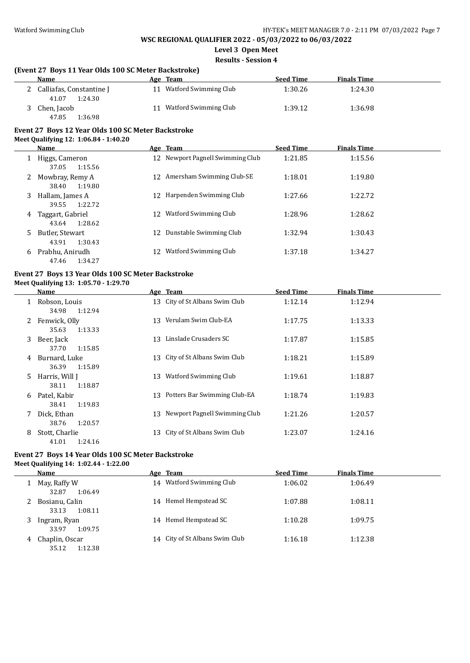**Level 3 Open Meet**

**Results - Session 4**

### **(Event 27 Boys 11 Year Olds 100 SC Meter Backstroke)**

| <b>Name</b>                                  | Age Team              | <b>Seed Time</b> | <b>Finals Time</b> |  |
|----------------------------------------------|-----------------------|------------------|--------------------|--|
| Calliafas, Constantine J<br>41.07<br>1:24.30 | Watford Swimming Club | 1:30.26          | 1:24.30            |  |
| Chen, Jacob<br>47.85<br>1:36.98              | Watford Swimming Club | 1:39.12          | 1:36.98            |  |

#### **Event 27 Boys 12 Year Olds 100 SC Meter Backstroke Meet Qualifying 12: 1:06.84 - 1:40.20**

|   | Name                                 |     | Age Team                         | <b>Seed Time</b> | <b>Finals Time</b> |  |
|---|--------------------------------------|-----|----------------------------------|------------------|--------------------|--|
|   | Higgs, Cameron<br>1:15.56<br>37.05   |     | 12 Newport Pagnell Swimming Club | 1:21.85          | 1:15.56            |  |
|   | Mowbray, Remy A<br>1:19.80<br>38.40  | 12. | Amersham Swimming Club-SE        | 1:18.01          | 1:19.80            |  |
| 3 | Hallam, James A<br>1:22.72<br>39.55  | 12. | Harpenden Swimming Club          | 1:27.66          | 1:22.72            |  |
| 4 | Taggart, Gabriel<br>1:28.62<br>43.64 | 12  | Watford Swimming Club            | 1:28.96          | 1:28.62            |  |
| 5 | Butler, Stewart<br>1:30.43<br>43.91  | 12  | Dunstable Swimming Club          | 1:32.94          | 1:30.43            |  |
| 6 | Prabhu, Anirudh<br>1:34.27<br>47.46  | 12  | Watford Swimming Club            | 1:37.18          | 1:34.27            |  |

## **Event 27 Boys 13 Year Olds 100 SC Meter Backstroke**

**Meet Qualifying 13: 1:05.70 - 1:29.70**

|   | Name                               |    | Age Team                         | <b>Seed Time</b> | <b>Finals Time</b> |
|---|------------------------------------|----|----------------------------------|------------------|--------------------|
|   | Robson, Louis<br>1:12.94<br>34.98  |    | 13 City of St Albans Swim Club   | 1:12.14          | 1:12.94            |
| 2 | Fenwick, Olly<br>1:13.33<br>35.63  |    | 13 Verulam Swim Club-EA          | 1:17.75          | 1:13.33            |
| 3 | Beer, Jack<br>37.70<br>1:15.85     | 13 | Linslade Crusaders SC            | 1:17.87          | 1:15.85            |
| 4 | Burnard, Luke<br>1:15.89<br>36.39  |    | 13 City of St Albans Swim Club   | 1:18.21          | 1:15.89            |
| 5 | Harris, Will J<br>1:18.87<br>38.11 | 13 | Watford Swimming Club            | 1:19.61          | 1:18.87            |
| 6 | Patel, Kabir<br>1:19.83<br>38.41   |    | 13 Potters Bar Swimming Club-EA  | 1:18.74          | 1:19.83            |
|   | Dick, Ethan<br>38.76<br>1:20.57    |    | 13 Newport Pagnell Swimming Club | 1:21.26          | 1:20.57            |
| 8 | Stott, Charlie<br>1:24.16<br>41.01 |    | 13 City of St Albans Swim Club   | 1:23.07          | 1:24.16            |

#### **Event 27 Boys 14 Year Olds 100 SC Meter Backstroke Meet Qualifying 14: 1:02.44 - 1:22.00**

|   | Name                               |    | Age Team                       | <b>Seed Time</b> | <b>Finals Time</b> |
|---|------------------------------------|----|--------------------------------|------------------|--------------------|
|   | May, Raffy W<br>32.87<br>1:06.49   | 14 | Watford Swimming Club          | 1:06.02          | 1:06.49            |
|   | Bosianu, Calin<br>33.13<br>1:08.11 | 14 | Hemel Hempstead SC             | 1:07.88          | 1:08.11            |
|   | Ingram, Ryan<br>33.97<br>1:09.75   | 14 | Hemel Hempstead SC             | 1:10.28          | 1:09.75            |
| 4 | Chaplin, Oscar<br>1:12.38<br>35.12 |    | 14 City of St Albans Swim Club | 1:16.18          | 1:12.38            |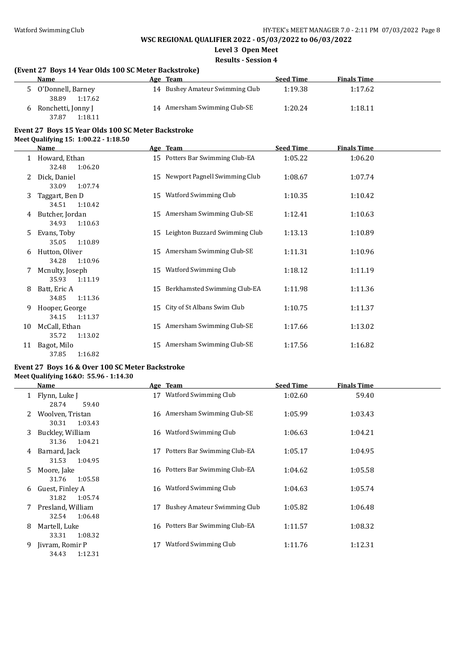**Level 3 Open Meet**

**Results - Session 4**

#### **(Event 27 Boys 14 Year Olds 100 SC Meter Backstroke)**

| <b>Name</b>        | Age Team                        | <b>Seed Time</b> | <b>Finals Time</b> |  |
|--------------------|---------------------------------|------------------|--------------------|--|
| O'Donnell, Barney  | 14 Bushey Amateur Swimming Club | 1:19.38          | 1:17.62            |  |
| 1:17.62<br>38.89   |                                 |                  |                    |  |
| Ronchetti, Jonny J | 14 Amersham Swimming Club-SE    | 1:20.24          | 1:18.11            |  |
| 37.87<br>1:18.11   |                                 |                  |                    |  |

#### **Event 27 Boys 15 Year Olds 100 SC Meter Backstroke Meet Qualifying 15: 1:00.22 - 1:18.50**

|    | Name                                |    | Age Team                         | <b>Seed Time</b> | <b>Finals Time</b> |  |
|----|-------------------------------------|----|----------------------------------|------------------|--------------------|--|
|    | Howard, Ethan<br>32.48<br>1:06.20   |    | 15 Potters Bar Swimming Club-EA  | 1:05.22          | 1:06.20            |  |
| 2  | Dick, Daniel<br>33.09<br>1:07.74    |    | 15 Newport Pagnell Swimming Club | 1:08.67          | 1:07.74            |  |
| 3  | Taggart, Ben D<br>34.51<br>1:10.42  |    | 15 Watford Swimming Club         | 1:10.35          | 1:10.42            |  |
| 4  | Butcher, Jordan<br>34.93<br>1:10.63 |    | 15 Amersham Swimming Club-SE     | 1:12.41          | 1:10.63            |  |
| 5. | Evans, Toby<br>35.05<br>1:10.89     | 15 | Leighton Buzzard Swimming Club   | 1:13.13          | 1:10.89            |  |
| 6  | Hutton, Oliver<br>1:10.96<br>34.28  |    | 15 Amersham Swimming Club-SE     | 1:11.31          | 1:10.96            |  |
|    | Mcnulty, Joseph<br>35.93<br>1:11.19 | 15 | Watford Swimming Club            | 1:18.12          | 1:11.19            |  |
| 8  | Batt, Eric A<br>34.85<br>1:11.36    | 15 | Berkhamsted Swimming Club-EA     | 1:11.98          | 1:11.36            |  |
| 9  | Hooper, George<br>34.15<br>1:11.37  | 15 | City of St Albans Swim Club      | 1:10.75          | 1:11.37            |  |
| 10 | McCall, Ethan<br>35.72<br>1:13.02   | 15 | Amersham Swimming Club-SE        | 1:17.66          | 1:13.02            |  |
| 11 | Bagot, Milo<br>37.85<br>1:16.82     | 15 | Amersham Swimming Club-SE        | 1:17.56          | 1:16.82            |  |

#### **Event 27 Boys 16 & Over 100 SC Meter Backstroke Meet Qualifying 16&O: 55.96 - 1:14.30**

|    | Name              |    | Age Team                        | <b>Seed Time</b> | <b>Finals Time</b> |  |
|----|-------------------|----|---------------------------------|------------------|--------------------|--|
|    | Flynn, Luke J     | 17 | Watford Swimming Club           | 1:02.60          | 59.40              |  |
|    | 28.74<br>59.40    |    |                                 |                  |                    |  |
|    | Woolven, Tristan  |    | 16 Amersham Swimming Club-SE    | 1:05.99          | 1:03.43            |  |
|    | 30.31<br>1:03.43  |    |                                 |                  |                    |  |
| 3. | Buckley, William  |    | 16 Watford Swimming Club        | 1:06.63          | 1:04.21            |  |
|    | 1:04.21<br>31.36  |    |                                 |                  |                    |  |
| 4  | Barnard, Jack     | 17 | Potters Bar Swimming Club-EA    | 1:05.17          | 1:04.95            |  |
|    | 31.53<br>1:04.95  |    |                                 |                  |                    |  |
| 5. | Moore, Jake       |    | 16 Potters Bar Swimming Club-EA | 1:04.62          | 1:05.58            |  |
|    | 1:05.58<br>31.76  |    |                                 |                  |                    |  |
| 6  | Guest, Finley A   |    | 16 Watford Swimming Club        | 1:04.63          | 1:05.74            |  |
|    | 1:05.74<br>31.82  |    |                                 |                  |                    |  |
|    | Presland, William | 17 | Bushey Amateur Swimming Club    | 1:05.82          | 1:06.48            |  |
|    |                   |    |                                 |                  |                    |  |
|    | 32.54<br>1:06.48  |    |                                 |                  |                    |  |
| 8  | Martell, Luke     |    | 16 Potters Bar Swimming Club-EA | 1:11.57          | 1:08.32            |  |
|    | 1:08.32<br>33.31  |    |                                 |                  |                    |  |
| 9. | Jivram, Romir P   | 17 | Watford Swimming Club           | 1:11.76          | 1:12.31            |  |
|    | 1:12.31<br>34.43  |    |                                 |                  |                    |  |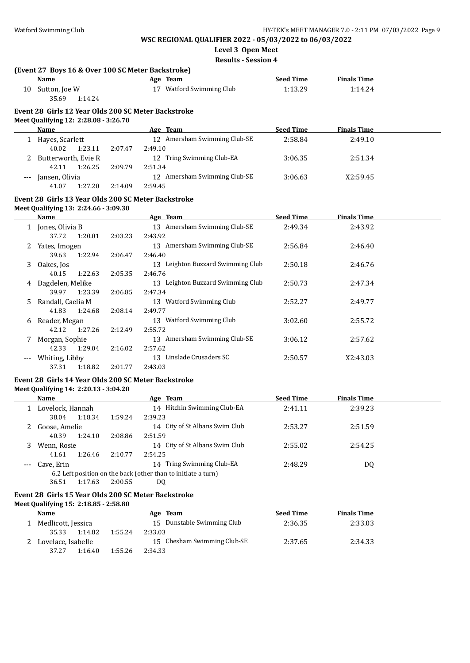**Level 3 Open Meet**

**Results - Session 4**

|    | (Event 27 Boys 16 & Over 100 SC Meter Backstroke)                                            |         |                                   |                  |                    |  |
|----|----------------------------------------------------------------------------------------------|---------|-----------------------------------|------------------|--------------------|--|
|    | <b>Name</b>                                                                                  |         | Age Team                          | <b>Seed Time</b> | <b>Finals Time</b> |  |
|    | 10 Sutton, Joe W<br>35.69<br>1:14.24                                                         |         | 17 Watford Swimming Club          | 1:13.29          | 1:14.24            |  |
|    | Event 28 Girls 12 Year Olds 200 SC Meter Backstroke<br>Meet Qualifying 12: 2:28.08 - 3:26.70 |         |                                   |                  |                    |  |
|    | <b>Name</b>                                                                                  |         | Age Team                          | <b>Seed Time</b> | <b>Finals Time</b> |  |
|    | 1 Hayes, Scarlett                                                                            |         | 12 Amersham Swimming Club-SE      | 2:58.84          | 2:49.10            |  |
|    | 40.02<br>1:23.11                                                                             | 2:07.47 | 2:49.10                           |                  |                    |  |
|    | Butterworth, Evie R                                                                          |         | 12 Tring Swimming Club-EA         | 3:06.35          | 2:51.34            |  |
|    | 42.11<br>1:26.25                                                                             | 2:09.79 | 2:51.34                           |                  |                    |  |
|    | --- Jansen, Olivia                                                                           |         | 12 Amersham Swimming Club-SE      | 3:06.63          | X2:59.45           |  |
|    | 41.07<br>1:27.20                                                                             | 2:14.09 | 2:59.45                           |                  |                    |  |
|    | Event 28 Girls 13 Year Olds 200 SC Meter Backstroke                                          |         |                                   |                  |                    |  |
|    | Meet Qualifying 13: 2:24.66 - 3:09.30                                                        |         |                                   |                  |                    |  |
|    | Name                                                                                         |         | Age Team                          | <b>Seed Time</b> | <b>Finals Time</b> |  |
|    | 1 Jones, Olivia B                                                                            |         | 13 Amersham Swimming Club-SE      | 2:49.34          | 2:43.92            |  |
|    | 37.72<br>1:20.01                                                                             | 2:03.23 | 2:43.92                           |                  |                    |  |
|    | 2 Yates, Imogen                                                                              |         | 13 Amersham Swimming Club-SE      | 2:56.84          | 2:46.40            |  |
|    | 39.63<br>1:22.94                                                                             | 2:06.47 | 2:46.40                           |                  |                    |  |
| 3  | Oakes, Jos                                                                                   |         | 13 Leighton Buzzard Swimming Club | 2:50.18          | 2:46.76            |  |
|    | 40.15<br>1:22.63                                                                             | 2:05.35 | 2:46.76                           |                  |                    |  |
|    | 4 Dagdelen, Melike                                                                           |         | 13 Leighton Buzzard Swimming Club | 2:50.73          | 2:47.34            |  |
|    | 39.97<br>1:23.39                                                                             | 2:06.85 | 2:47.34                           |                  |                    |  |
| 5. | Randall, Caelia M                                                                            |         | 13 Watford Swimming Club          | 2:52.27          | 2:49.77            |  |
|    | 41.83<br>1:24.68                                                                             | 2:08.14 | 2:49.77                           |                  |                    |  |
|    | 6 Reader, Megan                                                                              |         | 13 Watford Swimming Club          | 3:02.60          | 2:55.72            |  |
|    | 42.12<br>1:27.26                                                                             | 2:12.49 | 2:55.72                           |                  |                    |  |
|    | 7 Morgan, Sophie                                                                             |         | 13 Amersham Swimming Club-SE      | 3:06.12          | 2:57.62            |  |
|    | 42.33<br>1:29.04                                                                             | 2:16.02 | 2:57.62                           |                  |                    |  |
|    | --- Whiting, Libby                                                                           |         | 13 Linslade Crusaders SC          | 2:50.57          | X2:43.03           |  |
|    | 37.31<br>1:18.82                                                                             | 2:01.77 | 2:43.03                           |                  |                    |  |
|    | Event 28 Girls 14 Year Olds 200 SC Meter Backstroke                                          |         |                                   |                  |                    |  |
|    | Meet Qualifying 14: 2:20.13 - 3:04.20                                                        |         |                                   |                  |                    |  |
|    | Name                                                                                         |         | Age Team                          | <b>Seed Time</b> | <b>Finals Time</b> |  |
|    | 1 Lovelock, Hannah                                                                           |         | 14 Hitchin Swimming Club-EA       | 2:41.11          | 2:39.23            |  |
|    | 38.04<br>1:18.34                                                                             | 1:59.24 | 2:39.23                           |                  |                    |  |
|    | 2. Goose Amelie                                                                              |         | 14 City of St Albans Swim Club    | 2.5327           | 2.5159             |  |

|       | .                                                             | .       |         |                                |         |                |  |  |  |
|-------|---------------------------------------------------------------|---------|---------|--------------------------------|---------|----------------|--|--|--|
|       | Goose, Amelie                                                 |         |         | 14 City of St Albans Swim Club | 2:53.27 | 2:51.59        |  |  |  |
|       | 40.39                                                         | 1:24.10 | 2:08.86 | 2:51.59                        |         |                |  |  |  |
|       | Wenn, Rosie                                                   |         |         | 14 City of St Albans Swim Club | 2:55.02 | 2:54.25        |  |  |  |
|       | 41.61                                                         | 1:26.46 | 2:10.77 | 2:54.25                        |         |                |  |  |  |
| $---$ | Cave, Erin                                                    |         |         | 14 Tring Swimming Club-EA      | 2:48.29 | D <sub>0</sub> |  |  |  |
|       | 6.2 Left position on the back (other than to initiate a turn) |         |         |                                |         |                |  |  |  |
|       | 36.51                                                         | 1:17.63 | 2:00.55 | DO                             |         |                |  |  |  |

#### **Event 28 Girls 15 Year Olds 200 SC Meter Backstroke**

**Meet Qualifying 15: 2:18.85 - 2:58.80**

| Name               |         | Age Team                    | <b>Seed Time</b> | <b>Finals Time</b> |  |
|--------------------|---------|-----------------------------|------------------|--------------------|--|
| Medlicott, Jessica |         | 15 Dunstable Swimming Club  | 2:36.35          | 2:33.03            |  |
| 35.33<br>1:14.82   | 1:55.24 | 2:33.03                     |                  |                    |  |
| Lovelace, Isabelle |         | 15 Chesham Swimming Club-SE | 2:37.65          | 2:34.33            |  |
| 37.27<br>1:16.40   | 1:55.26 | 2:34.33                     |                  |                    |  |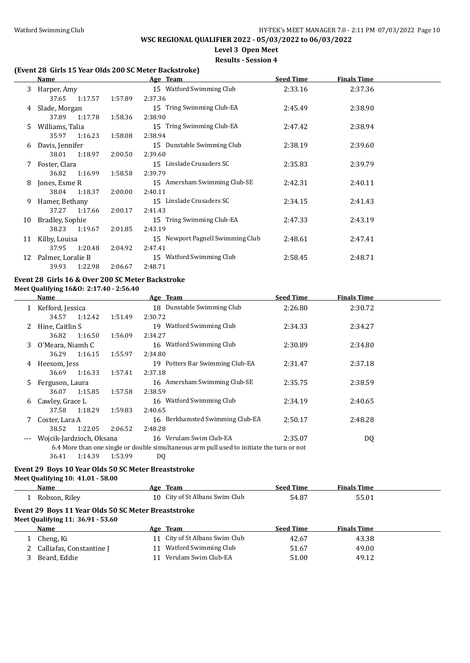$\overline{\phantom{a}}$ 

## **WSC REGIONAL QUALIFIER 2022 - 05/03/2022 to 06/03/2022**

## **Level 3 Open Meet**

### **Results - Session 4**

### **(Event 28 Girls 15 Year Olds 200 SC Meter Backstroke)**

|    | Name              |         |         | Age Team                         | <b>Seed Time</b> | <b>Finals Time</b> |  |
|----|-------------------|---------|---------|----------------------------------|------------------|--------------------|--|
| 3  | Harper, Amy       |         |         | 15 Watford Swimming Club         | 2:33.16          | 2:37.36            |  |
|    | 37.65             | 1:17.57 | 1:57.89 | 2:37.36                          |                  |                    |  |
| 4  | Slade, Morgan     |         |         | 15 Tring Swimming Club-EA        | 2:45.49          | 2:38.90            |  |
|    | 37.89             | 1:17.78 | 1:58.36 | 2:38.90                          |                  |                    |  |
| 5. | Williams, Talia   |         |         | 15 Tring Swimming Club-EA        | 2:47.42          | 2:38.94            |  |
|    | 35.97             | 1:16.23 | 1:58.08 | 2:38.94                          |                  |                    |  |
| 6  | Davis, Jennifer   |         |         | 15 Dunstable Swimming Club       | 2:38.19          | 2:39.60            |  |
|    | 38.01             | 1:18.97 | 2:00.50 | 2:39.60                          |                  |                    |  |
| Z. | Foster, Clara     |         |         | 15 Linslade Crusaders SC         | 2:35.83          | 2:39.79            |  |
|    | 36.82             | 1:16.99 | 1:58.58 | 2:39.79                          |                  |                    |  |
| 8  | Jones, Esme R     |         |         | 15 Amersham Swimming Club-SE     | 2:42.31          | 2:40.11            |  |
|    | 38.04             | 1:18.37 | 2:00.00 | 2:40.11                          |                  |                    |  |
| 9  | Hamer, Bethany    |         |         | 15 Linslade Crusaders SC         | 2:34.15          | 2:41.43            |  |
|    | 37.27             | 1:17.66 | 2:00.17 | 2:41.43                          |                  |                    |  |
| 10 | Bradley, Sophie   |         |         | 15 Tring Swimming Club-EA        | 2:47.33          | 2:43.19            |  |
|    | 38.23             | 1:19.67 | 2:01.85 | 2:43.19                          |                  |                    |  |
| 11 | Kilby, Louisa     |         |         | 15 Newport Pagnell Swimming Club | 2:48.61          | 2:47.41            |  |
|    | 37.95             | 1:20.48 | 2:04.92 | 2:47.41                          |                  |                    |  |
| 12 | Palmer, Loralie B |         |         | 15 Watford Swimming Club         | 2:58.45          | 2:48.71            |  |
|    | 39.93             | 1:22.98 | 2:06.67 | 2:48.71                          |                  |                    |  |

#### **Event 28 Girls 16 & Over 200 SC Meter Backstroke Meet Qualifying 16&O: 2:17.40 - 2:56.40**

|     | Name                     |         | Age Team                                                                                  | <b>Seed Time</b> | <b>Finals Time</b> |  |
|-----|--------------------------|---------|-------------------------------------------------------------------------------------------|------------------|--------------------|--|
|     | Kefford, Jessica         |         | 18 Dunstable Swimming Club                                                                | 2:26.80          | 2:30.72            |  |
|     | 1:12.42<br>34.57         | 1:51.49 | 2:30.72                                                                                   |                  |                    |  |
|     | Hine, Caitlin S          |         | Watford Swimming Club<br>19                                                               | 2:34.33          | 2:34.27            |  |
|     | 1:16.50<br>36.82         | 1:56.09 | 2:34.27                                                                                   |                  |                    |  |
| 3   | 0'Meara, Niamh C         |         | Watford Swimming Club<br>16                                                               | 2:30.89          | 2:34.80            |  |
|     | 1:16.15<br>36.29         | 1:55.97 | 2:34.80                                                                                   |                  |                    |  |
| 4   | Heesom, Jess             |         | 19 Potters Bar Swimming Club-EA                                                           | 2:31.47          | 2:37.18            |  |
|     | 1:16.33<br>36.69         | 1:57.41 | 2:37.18                                                                                   |                  |                    |  |
| 5   | Ferguson, Laura          |         | 16 Amersham Swimming Club-SE                                                              | 2:35.75          | 2:38.59            |  |
|     | 1:15.85<br>36.07         | 1:57.58 | 2:38.59                                                                                   |                  |                    |  |
| 6   | Cawley, Grace L          |         | Watford Swimming Club<br>16                                                               | 2:34.19          | 2:40.65            |  |
|     | 1:18.29<br>37.58         | 1:59.83 | 2:40.65                                                                                   |                  |                    |  |
|     | Coster, Lara A           |         | 16 Berkhamsted Swimming Club-EA                                                           | 2:50.17          | 2:48.28            |  |
|     | 1:22.05<br>38.52         | 2:06.52 | 2:48.28                                                                                   |                  |                    |  |
| --- | Wojcik-Jardzioch, Oksana |         | 16 Verulam Swim Club-EA                                                                   | 2:35.07          | DQ                 |  |
|     |                          |         | 6.4 More than one single or double simultaneous arm pull used to initiate the turn or not |                  |                    |  |
|     | 1:14.39<br>36.41         | 1:53.99 | DQ                                                                                        |                  |                    |  |

### **Event 29 Boys 10 Year Olds 50 SC Meter Breaststroke**

#### **Meet Qualifying 10: 41.01 - 58.00**

|                                                                                          | Name                     |  | Age Team                       | <b>Seed Time</b> | <b>Finals Time</b> |  |  |  |
|------------------------------------------------------------------------------------------|--------------------------|--|--------------------------------|------------------|--------------------|--|--|--|
|                                                                                          | Robson, Rilev            |  | 10 City of St Albans Swim Club | 54.87            | 55.01              |  |  |  |
| Event 29 Boys 11 Year Olds 50 SC Meter Breaststroke<br>Meet Qualifying 11: 36.91 - 53.60 |                          |  |                                |                  |                    |  |  |  |
|                                                                                          | Name                     |  | Age Team                       | <b>Seed Time</b> | <b>Finals Time</b> |  |  |  |
|                                                                                          | Cheng, Ki                |  | 11 City of St Albans Swim Club | 42.67            | 43.38              |  |  |  |
|                                                                                          | Calliafas, Constantine J |  | Watford Swimming Club          | 51.67            | 49.00              |  |  |  |
|                                                                                          | Beard, Eddie             |  | Verulam Swim Club-EA           | 51.00            | 49.12              |  |  |  |
|                                                                                          |                          |  |                                |                  |                    |  |  |  |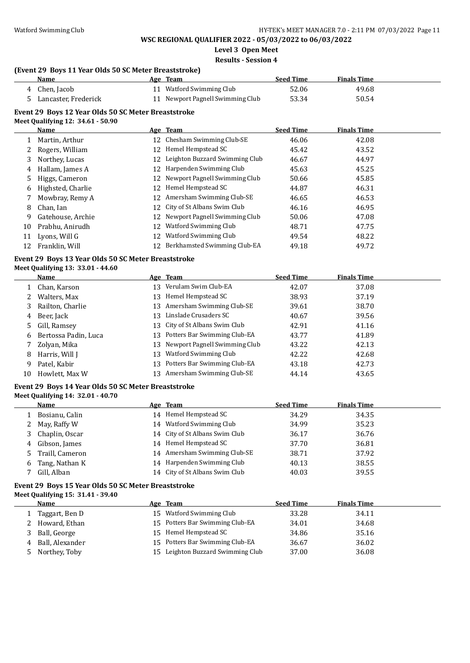**Level 3 Open Meet**

**Results - Session 4**

## **(Event 29 Boys 11 Year Olds 50 SC Meter Breaststroke)**

|    | Name                                                                                     |    | Age Team                         | <b>Seed Time</b> | <b>Finals Time</b> |  |
|----|------------------------------------------------------------------------------------------|----|----------------------------------|------------------|--------------------|--|
| 4  | Chen, Jacob                                                                              |    | 11 Watford Swimming Club         | 52.06            | 49.68              |  |
| 5. | Lancaster, Frederick                                                                     |    | 11 Newport Pagnell Swimming Club | 53.34            | 50.54              |  |
|    | Event 29 Boys 12 Year Olds 50 SC Meter Breaststroke<br>Meet Qualifying 12: 34.61 - 50.90 |    |                                  |                  |                    |  |
|    | Name                                                                                     |    | Age Team                         | <b>Seed Time</b> | <b>Finals Time</b> |  |
| 1  | Martin, Arthur                                                                           |    | 12 Chesham Swimming Club-SE      | 46.06            | 42.08              |  |
| 2  | Rogers, William                                                                          | 12 | Hemel Hempstead SC               | 45.42            | 43.52              |  |
| 3  | Northey, Lucas                                                                           | 12 | Leighton Buzzard Swimming Club   | 46.67            | 44.97              |  |
| 4  | Hallam, James A                                                                          | 12 | Harpenden Swimming Club          | 45.63            | 45.25              |  |
| 5  | Higgs, Cameron                                                                           | 12 | Newport Pagnell Swimming Club    | 50.66            | 45.85              |  |
| 6  | Highsted, Charlie                                                                        | 12 | Hemel Hempstead SC               | 44.87            | 46.31              |  |
| 7  | Mowbray, Remy A                                                                          | 12 | Amersham Swimming Club-SE        | 46.65            | 46.53              |  |
| 8  | Chan, Ian                                                                                | 12 | City of St Albans Swim Club      | 46.16            | 46.95              |  |
| 9  | Gatehouse, Archie                                                                        | 12 | Newport Pagnell Swimming Club    | 50.06            | 47.08              |  |
| 10 | Prabhu, Anirudh                                                                          | 12 | Watford Swimming Club            | 48.71            | 47.75              |  |
| 11 | Lyons, Will G                                                                            | 12 | Watford Swimming Club            | 49.54            | 48.22              |  |
| 12 | Franklin, Will                                                                           | 12 | Berkhamsted Swimming Club-EA     | 49.18            | 49.72              |  |
|    | Event 29 Boys 13 Year Olds 50 SC Meter Breaststroke<br>Meet Qualifying 13: 33.01 - 44.60 |    |                                  |                  |                    |  |
|    | Name                                                                                     |    | Age Team                         | <b>Seed Time</b> | <b>Finals Time</b> |  |
| 1  | Chan, Karson                                                                             | 13 | Verulam Swim Club-EA             | 42.07            | 37.08              |  |
| 2  | Walters, Max                                                                             | 13 | Hemel Hempstead SC               | 38.93            | 37.19              |  |
| 3  | Railton, Charlie                                                                         | 13 | Amersham Swimming Club-SE        | 39.61            | 38.70              |  |
| 4  | Beer, Jack                                                                               | 13 | Linslade Crusaders SC            | 40.67            | 39.56              |  |
| 5  | Gill, Ramsey                                                                             | 13 | City of St Albans Swim Club      | 42.91            | 41.16              |  |
| 6  | Bertossa Padin, Luca                                                                     | 13 | Potters Bar Swimming Club-EA     | 43.77            | 41.89              |  |
| 7  | Zolyan, Mika                                                                             | 13 | Newport Pagnell Swimming Club    | 43.22            | 42.13              |  |
| 8  | Harris, Will J                                                                           | 13 | Watford Swimming Club            | 42.22            | 42.68              |  |
| 9  | Patel, Kabir                                                                             | 13 | Potters Bar Swimming Club-EA     | 43.18            | 42.73              |  |

### **Event 29 Boys 14 Year Olds 50 SC Meter Breaststroke Meet Qualifying 14: 32.01 - 40.70**

| меет бичний та |  |  |
|----------------|--|--|
|                |  |  |

|    | Name            | Age Team                       | <b>Seed Time</b> | <b>Finals Time</b> |
|----|-----------------|--------------------------------|------------------|--------------------|
|    | Bosianu, Calin  | 14 Hemel Hempstead SC          | 34.29            | 34.35              |
|    | 2 May, Raffy W  | 14 Watford Swimming Club       | 34.99            | 35.23              |
|    | Chaplin, Oscar  | 14 City of St Albans Swim Club | 36.17            | 36.76              |
| 4  | Gibson, James   | 14 Hemel Hempstead SC          | 37.70            | 36.81              |
| 5. | Traill. Cameron | 14 Amersham Swimming Club-SE   | 38.71            | 37.92              |
| 6  | Tang, Nathan K  | 14 Harpenden Swimming Club     | 40.13            | 38.55              |
|    | Gill, Alban     | 14 City of St Albans Swim Club | 40.03            | 39.55              |

10 Howlett, Max W 13 Amersham Swimming Club-SE 44.14 43.65

#### **Event 29 Boys 15 Year Olds 50 SC Meter Breaststroke Meet Qualifying 15: 31.41 - 39.40**

| <b>Name</b>     | Age Team                          | <b>Seed Time</b> | <b>Finals Time</b> |
|-----------------|-----------------------------------|------------------|--------------------|
| Taggart, Ben D  | 15 Watford Swimming Club          | 33.28            | 34.11              |
| Howard, Ethan   | 15 Potters Bar Swimming Club-EA   | 34.01            | 34.68              |
| Ball, George    | 15 Hemel Hempstead SC             | 34.86            | 35.16              |
| Ball, Alexander | 15 Potters Bar Swimming Club-EA   | 36.67            | 36.02              |
| Northey, Toby   | 15 Leighton Buzzard Swimming Club | 37.00            | 36.08              |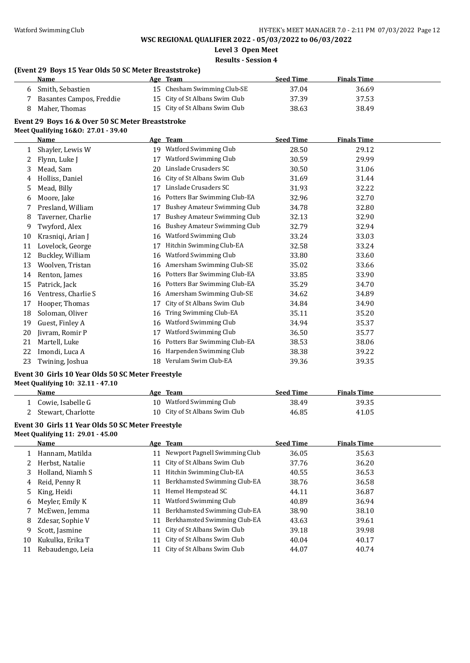**Level 3 Open Meet**

#### **Results - Session 4**

#### **(Event 29 Boys 15 Year Olds 50 SC Meter Breaststroke)**

| <b>Name</b>              | Age Team                       | <b>Seed Time</b> | <b>Finals Time</b> |
|--------------------------|--------------------------------|------------------|--------------------|
| 6 Smith, Sebastien       | 15 Chesham Swimming Club-SE    | 37.04            | 36.69              |
| Basantes Campos, Freddie | 15 City of St Albans Swim Club | 37.39            | 37.53              |
| Maher, Thomas            | 15 City of St Albans Swim Club | 38.63            | 38.49              |

### **Event 29 Boys 16 & Over 50 SC Meter Breaststroke**

#### **Meet Qualifying 16&O: 27.01 - 39.40**

|    | <b>Name</b>         | <b>Age</b> | <b>Team</b>                         | <b>Seed Time</b> | <b>Finals Time</b> |
|----|---------------------|------------|-------------------------------------|------------------|--------------------|
| 1  | Shayler, Lewis W    | 19         | Watford Swimming Club               | 28.50            | 29.12              |
| 2  | Flynn, Luke J       | 17         | Watford Swimming Club               | 30.59            | 29.99              |
| 3  | Mead, Sam           | 20         | Linslade Crusaders SC               | 30.50            | 31.06              |
| 4  | Holliss, Daniel     | 16         | City of St Albans Swim Club         | 31.69            | 31.44              |
| 5  | Mead, Billy         | 17         | Linslade Crusaders SC               | 31.93            | 32.22              |
| 6  | Moore, Jake         | 16         | Potters Bar Swimming Club-EA        | 32.96            | 32.70              |
| 7  | Presland, William   | 17         | <b>Bushey Amateur Swimming Club</b> | 34.78            | 32.80              |
| 8  | Taverner, Charlie   | 17         | <b>Bushey Amateur Swimming Club</b> | 32.13            | 32.90              |
| 9  | Twyford, Alex       | 16         | <b>Bushey Amateur Swimming Club</b> | 32.79            | 32.94              |
| 10 | Krasniqi, Arian J   | 16         | Watford Swimming Club               | 33.24            | 33.03              |
| 11 | Lovelock, George    | 17         | Hitchin Swimming Club-EA            | 32.58            | 33.24              |
| 12 | Buckley, William    | 16         | Watford Swimming Club               | 33.80            | 33.60              |
| 13 | Woolven, Tristan    | 16         | Amersham Swimming Club-SE           | 35.02            | 33.66              |
| 14 | Renton, James       | 16         | Potters Bar Swimming Club-EA        | 33.85            | 33.90              |
| 15 | Patrick, Jack       | 16         | Potters Bar Swimming Club-EA        | 35.29            | 34.70              |
| 16 | Ventress, Charlie S | 16         | Amersham Swimming Club-SE           | 34.62            | 34.89              |
| 17 | Hooper, Thomas      | 17         | City of St Albans Swim Club         | 34.84            | 34.90              |
| 18 | Soloman, Oliver     | 16         | Tring Swimming Club-EA              | 35.11            | 35.20              |
| 19 | Guest, Finley A     | 16         | Watford Swimming Club               | 34.94            | 35.37              |
| 20 | Jivram, Romir P     | 17         | Watford Swimming Club               | 36.50            | 35.77              |
| 21 | Martell, Luke       | 16         | Potters Bar Swimming Club-EA        | 38.53            | 38.06              |
| 22 | Imondi, Luca A      | 16         | Harpenden Swimming Club             | 38.38            | 39.22              |
| 23 | Twining, Joshua     | 18         | Verulam Swim Club-EA                | 39.36            | 39.35              |

#### **Event 30 Girls 10 Year Olds 50 SC Meter Freestyle Meet Qualifying 10: 32.11 - 47.10**

| Name               | Age Team                       | Seed Time | <b>Finals Time</b> |  |
|--------------------|--------------------------------|-----------|--------------------|--|
| Cowie, Isabelle G  | 10 Watford Swimming Club       | 38.49     | 39.35              |  |
| Stewart, Charlotte | 10 City of St Albans Swim Club | 46.85     | 41.05              |  |

#### **Event 30 Girls 11 Year Olds 50 SC Meter Freestyle Meet Qualifying 11: 29.01 - 45.00**

|    | <b>Name</b>      |    | Age Team                      | <b>Seed Time</b> | <b>Finals Time</b> |
|----|------------------|----|-------------------------------|------------------|--------------------|
|    | Hannam, Matilda  | 11 | Newport Pagnell Swimming Club | 36.05            | 35.63              |
| 2  | Herbst, Natalie  | 11 | City of St Albans Swim Club   | 37.76            | 36.20              |
| 3  | Holland, Niamh S | 11 | Hitchin Swimming Club-EA      | 40.55            | 36.53              |
| 4  | Reid, Penny R    | 11 | Berkhamsted Swimming Club-EA  | 38.76            | 36.58              |
| 5. | King, Heidi      | 11 | Hemel Hempstead SC            | 44.11            | 36.87              |
| 6  | Meyler, Emily K  | 11 | Watford Swimming Club         | 40.89            | 36.94              |
|    | McEwen, Jemma    | 11 | Berkhamsted Swimming Club-EA  | 38.90            | 38.10              |
| 8  | Zdesar, Sophie V | 11 | Berkhamsted Swimming Club-EA  | 43.63            | 39.61              |
| 9  | Scott, Jasmine   | 11 | City of St Albans Swim Club   | 39.18            | 39.98              |
| 10 | Kukulka, Erika T | 11 | City of St Albans Swim Club   | 40.04            | 40.17              |
| 11 | Rebaudengo, Leia |    | City of St Albans Swim Club   | 44.07            | 40.74              |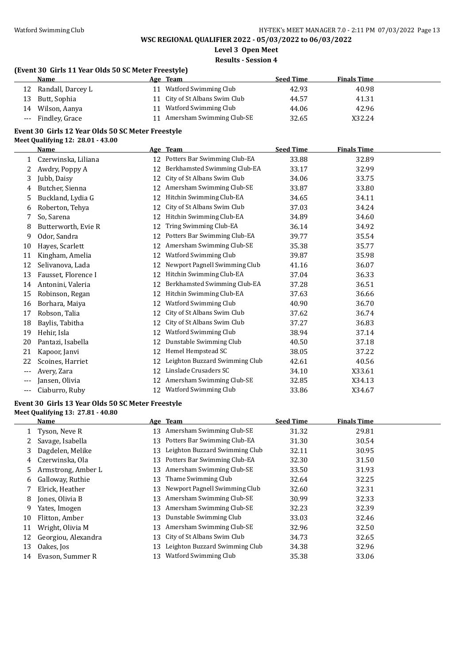**Level 3 Open Meet**

### **Results - Session 4**

### **(Event 30 Girls 11 Year Olds 50 SC Meter Freestyle)**

|    | Name               | Age Team                       | <b>Seed Time</b> | <b>Finals Time</b> |
|----|--------------------|--------------------------------|------------------|--------------------|
| 12 | Randall, Darcey L  | Watford Swimming Club          | 42.93            | 40.98              |
| 13 | Butt, Sophia       | 11 City of St Albans Swim Club | 44.57            | 41.31              |
| 14 | Wilson, Aanya      | 11 Watford Swimming Club       | 44.06            | 42.96              |
|    | --- Findley, Grace | Amersham Swimming Club-SE      | 32.65            | X32.24             |

#### **Event 30 Girls 12 Year Olds 50 SC Meter Freestyle Meet Qualifying 12: 28.01 - 43.00**

|       | <b>Name</b>         |    | Age Team                        | <b>Seed Time</b> | <b>Finals Time</b> |  |
|-------|---------------------|----|---------------------------------|------------------|--------------------|--|
|       | Czerwinska, Liliana |    | 12 Potters Bar Swimming Club-EA | 33.88            | 32.89              |  |
| 2     | Awdry, Poppy A      | 12 | Berkhamsted Swimming Club-EA    | 33.17            | 32.99              |  |
| 3     | Jubb, Daisy         | 12 | City of St Albans Swim Club     | 34.06            | 33.75              |  |
| 4     | Butcher, Sienna     | 12 | Amersham Swimming Club-SE       | 33.87            | 33.80              |  |
| 5     | Buckland, Lydia G   | 12 | Hitchin Swimming Club-EA        | 34.65            | 34.11              |  |
| 6     | Roberton, Tehya     | 12 | City of St Albans Swim Club     | 37.03            | 34.24              |  |
| 7     | So, Sarena          | 12 | Hitchin Swimming Club-EA        | 34.89            | 34.60              |  |
| 8     | Butterworth, Evie R | 12 | Tring Swimming Club-EA          | 36.14            | 34.92              |  |
| 9     | Odor, Sandra        | 12 | Potters Bar Swimming Club-EA    | 39.77            | 35.54              |  |
| 10    | Hayes, Scarlett     | 12 | Amersham Swimming Club-SE       | 35.38            | 35.77              |  |
| 11    | Kingham, Amelia     | 12 | Watford Swimming Club           | 39.87            | 35.98              |  |
| 12    | Selivanova, Lada    | 12 | Newport Pagnell Swimming Club   | 41.16            | 36.07              |  |
| 13    | Fausset, Florence I | 12 | Hitchin Swimming Club-EA        | 37.04            | 36.33              |  |
| 14    | Antonini, Valeria   | 12 | Berkhamsted Swimming Club-EA    | 37.28            | 36.51              |  |
| 15    | Robinson, Regan     | 12 | Hitchin Swimming Club-EA        | 37.63            | 36.66              |  |
| 16    | Borhara, Maiya      | 12 | Watford Swimming Club           | 40.90            | 36.70              |  |
| 17    | Robson, Talia       | 12 | City of St Albans Swim Club     | 37.62            | 36.74              |  |
| 18    | Baylis, Tabitha     | 12 | City of St Albans Swim Club     | 37.27            | 36.83              |  |
| 19    | Hehir, Isla         | 12 | Watford Swimming Club           | 38.94            | 37.14              |  |
| 20    | Pantazi, Isabella   | 12 | Dunstable Swimming Club         | 40.50            | 37.18              |  |
| 21    | Kapoor, Janvi       | 12 | Hemel Hempstead SC              | 38.05            | 37.22              |  |
| 22    | Scoines, Harriet    | 12 | Leighton Buzzard Swimming Club  | 42.61            | 40.56              |  |
| $---$ | Avery, Zara         | 12 | Linslade Crusaders SC           | 34.10            | X33.61             |  |
| ---   | Jansen, Olivia      | 12 | Amersham Swimming Club-SE       | 32.85            | X34.13             |  |
| ---   | Ciaburro, Ruby      | 12 | Watford Swimming Club           | 33.86            | X34.67             |  |

#### **Event 30 Girls 13 Year Olds 50 SC Meter Freestyle Meet Qualifying 13: 27.81 - 40.80**

|    | Name                |    | Age Team                       | <b>Seed Time</b> | <b>Finals Time</b> |  |
|----|---------------------|----|--------------------------------|------------------|--------------------|--|
|    | Tyson, Neve R       | 13 | Amersham Swimming Club-SE      | 31.32            | 29.81              |  |
|    | Savage, Isabella    | 13 | Potters Bar Swimming Club-EA   | 31.30            | 30.54              |  |
| 3  | Dagdelen, Melike    | 13 | Leighton Buzzard Swimming Club | 32.11            | 30.95              |  |
| 4  | Czerwinska, Ola     | 13 | Potters Bar Swimming Club-EA   | 32.30            | 31.50              |  |
| 5  | Armstrong, Amber L  | 13 | Amersham Swimming Club-SE      | 33.50            | 31.93              |  |
| 6  | Galloway, Ruthie    | 13 | Thame Swimming Club            | 32.64            | 32.25              |  |
|    | Elrick, Heather     | 13 | Newport Pagnell Swimming Club  | 32.60            | 32.31              |  |
| 8  | Jones, Olivia B     | 13 | Amersham Swimming Club-SE      | 30.99            | 32.33              |  |
| 9  | Yates, Imogen       | 13 | Amersham Swimming Club-SE      | 32.23            | 32.39              |  |
| 10 | Flitton, Amber      | 13 | Dunstable Swimming Club        | 33.03            | 32.46              |  |
| 11 | Wright, Olivia M    | 13 | Amersham Swimming Club-SE      | 32.96            | 32.50              |  |
| 12 | Georgiou, Alexandra | 13 | City of St Albans Swim Club    | 34.73            | 32.65              |  |
| 13 | Oakes, Jos          | 13 | Leighton Buzzard Swimming Club | 34.38            | 32.96              |  |
| 14 | Evason, Summer R    | 13 | <b>Watford Swimming Club</b>   | 35.38            | 33.06              |  |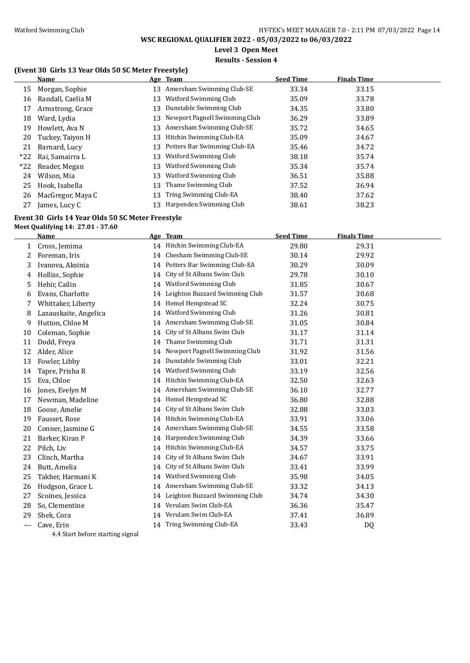**Level 3 Open Meet**

### **Results - Session 4**

### **(Event 30 Girls 13 Year Olds 50 SC Meter Freestyle)**

|       | Name              |    | Age Team                      | <b>Seed Time</b> | <b>Finals Time</b> |  |
|-------|-------------------|----|-------------------------------|------------------|--------------------|--|
| 15    | Morgan, Sophie    | 13 | Amersham Swimming Club-SE     | 33.34            | 33.15              |  |
| 16    | Randall, Caelia M | 13 | <b>Watford Swimming Club</b>  | 35.09            | 33.78              |  |
| 17    | Armstrong, Grace  | 13 | Dunstable Swimming Club       | 34.35            | 33.80              |  |
| 18    | Ward, Lydia       | 13 | Newport Pagnell Swimming Club | 36.29            | 33.89              |  |
| 19    | Howlett, Ava N    | 13 | Amersham Swimming Club-SE     | 35.72            | 34.65              |  |
| 20    | Tuckey, Taiyon H  | 13 | Hitchin Swimming Club-EA      | 35.09            | 34.67              |  |
| 21    | Barnard, Lucy     | 13 | Potters Bar Swimming Club-EA  | 35.46            | 34.72              |  |
| $*22$ | Rai, Samairra L   | 13 | Watford Swimming Club         | 38.18            | 35.74              |  |
| $*22$ | Reader, Megan     | 13 | Watford Swimming Club         | 35.34            | 35.74              |  |
| 24    | Wilson, Mia       | 13 | Watford Swimming Club         | 36.51            | 35.88              |  |
| 25    | Hook, Isabella    | 13 | Thame Swimming Club           | 37.52            | 36.94              |  |
| 26    | MacGregor, Maya C | 13 | Tring Swimming Club-EA        | 38.40            | 37.62              |  |
| 27    | James, Lucy C     |    | Harpenden Swimming Club       | 38.61            | 38.23              |  |

#### **Event 30 Girls 14 Year Olds 50 SC Meter Freestyle**

#### **Meet Qualifying 14: 27.01 - 37.60**

|    | <b>Name</b>           |    | Age Team                       | <b>Seed Time</b> | <b>Finals Time</b> |  |
|----|-----------------------|----|--------------------------------|------------------|--------------------|--|
| 1  | Cross, Jemima         |    | 14 Hitchin Swimming Club-EA    | 29.80            | 29.31              |  |
| 2  | Foreman, Iris         | 14 | Chesham Swimming Club-SE       | 30.14            | 29.92              |  |
| 3  | Ivanova, Aksinia      | 14 | Potters Bar Swimming Club-EA   | 30.29            | 30.09              |  |
| 4  | Holliss, Sophie       | 14 | City of St Albans Swim Club    | 29.78            | 30.10              |  |
| 5  | Hehir, Cailin         | 14 | Watford Swimming Club          | 31.85            | 30.67              |  |
| 6  | Evans, Charlotte      | 14 | Leighton Buzzard Swimming Club | 31.57            | 30.68              |  |
| 7  | Whittaker, Liberty    | 14 | Hemel Hempstead SC             | 32.24            | 30.75              |  |
| 8  | Lazauskaite, Angelica | 14 | Watford Swimming Club          | 31.26            | 30.81              |  |
| 9  | Hutton, Chloe M       | 14 | Amersham Swimming Club-SE      | 31.05            | 30.84              |  |
| 10 | Coleman, Sophie       | 14 | City of St Albans Swim Club    | 31.17            | 31.14              |  |
| 11 | Dodd, Freya           | 14 | Thame Swimming Club            | 31.71            | 31.31              |  |
| 12 | Alder, Alice          | 14 | Newport Pagnell Swimming Club  | 31.92            | 31.56              |  |
| 13 | Fowler, Libby         | 14 | Dunstable Swimming Club        | 33.01            | 32.21              |  |
| 14 | Tapre, Prisha R       | 14 | Watford Swimming Club          | 33.19            | 32.56              |  |
| 15 | Eva, Chloe            | 14 | Hitchin Swimming Club-EA       | 32.50            | 32.63              |  |
| 16 | Jones, Evelyn M       | 14 | Amersham Swimming Club-SE      | 36.10            | 32.77              |  |
| 17 | Newman, Madeline      | 14 | Hemel Hempstead SC             | 36.80            | 32.88              |  |
| 18 | Goose, Amelie         | 14 | City of St Albans Swim Club    | 32.88            | 33.03              |  |
| 19 | Fausset, Rose         | 14 | Hitchin Swimming Club-EA       | 33.91            | 33.06              |  |
| 20 | Conner, Jasmine G     | 14 | Amersham Swimming Club-SE      | 34.55            | 33.58              |  |
| 21 | Barker, Kiran P       | 14 | Harpenden Swimming Club        | 34.39            | 33.66              |  |
| 22 | Pilch, Liv            |    | 14 Hitchin Swimming Club-EA    | 34.57            | 33.75              |  |
| 23 | Clinch, Martha        | 14 | City of St Albans Swim Club    | 34.67            | 33.91              |  |
| 24 | Butt, Amelia          | 14 | City of St Albans Swim Club    | 33.41            | 33.99              |  |
| 25 | Takher, Harmani K     | 14 | Watford Swimming Club          | 35.98            | 34.05              |  |
| 26 | Hodgson, Grace L      | 14 | Amersham Swimming Club-SE      | 33.32            | 34.13              |  |
| 27 | Scoines, Jessica      | 14 | Leighton Buzzard Swimming Club | 34.74            | 34.30              |  |
| 28 | So, Clementine        | 14 | Verulam Swim Club-EA           | 36.36            | 35.47              |  |
| 29 | Shek, Cora            | 14 | Verulam Swim Club-EA           | 37.41            | 36.89              |  |
|    | Cave, Erin            |    | 14 Tring Swimming Club-EA      | 33.43            | DQ                 |  |
|    |                       |    |                                |                  |                    |  |

4.4 Start before starting signal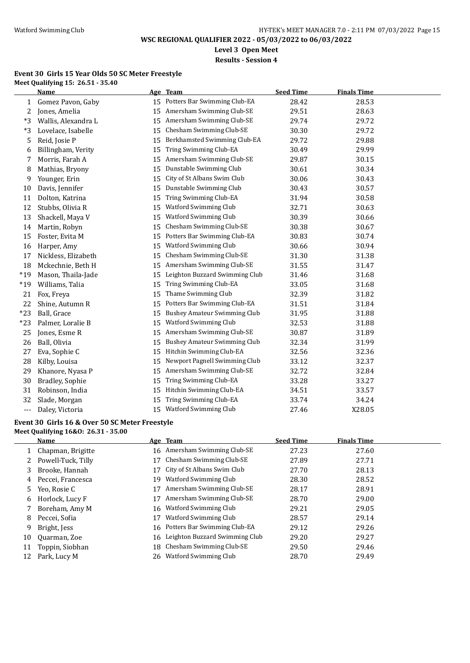**Level 3 Open Meet**

**Results - Session 4**

#### **Event 30 Girls 15 Year Olds 50 SC Meter Freestyle Meet Qualifying 15: 26.51 - 35.40**

|       | <b>Name</b>         |    | Age Team                            | <b>Seed Time</b> | <b>Finals Time</b> |  |
|-------|---------------------|----|-------------------------------------|------------------|--------------------|--|
| 1     | Gomez Pavon, Gaby   |    | 15 Potters Bar Swimming Club-EA     | 28.42            | 28.53              |  |
| 2     | Jones, Amelia       | 15 | Amersham Swimming Club-SE           | 29.51            | 28.63              |  |
| *3    | Wallis, Alexandra L | 15 | Amersham Swimming Club-SE           | 29.74            | 29.72              |  |
| *3    | Lovelace, Isabelle  | 15 | Chesham Swimming Club-SE            | 30.30            | 29.72              |  |
| 5     | Reid, Josie P       | 15 | Berkhamsted Swimming Club-EA        | 29.72            | 29.88              |  |
| 6     | Billingham, Verity  | 15 | Tring Swimming Club-EA              | 30.49            | 29.99              |  |
| 7     | Morris, Farah A     | 15 | Amersham Swimming Club-SE           | 29.87            | 30.15              |  |
| 8     | Mathias, Bryony     | 15 | Dunstable Swimming Club             | 30.61            | 30.34              |  |
| 9     | Younger, Erin       | 15 | City of St Albans Swim Club         | 30.06            | 30.43              |  |
| 10    | Davis, Jennifer     | 15 | Dunstable Swimming Club             | 30.43            | 30.57              |  |
| 11    | Dolton, Katrina     | 15 | Tring Swimming Club-EA              | 31.94            | 30.58              |  |
| 12    | Stubbs, Olivia R    | 15 | Watford Swimming Club               | 32.71            | 30.63              |  |
| 13    | Shackell, Maya V    | 15 | Watford Swimming Club               | 30.39            | 30.66              |  |
| 14    | Martin, Robyn       | 15 | Chesham Swimming Club-SE            | 30.38            | 30.67              |  |
| 15    | Foster, Evita M     | 15 | Potters Bar Swimming Club-EA        | 30.83            | 30.74              |  |
| 16    | Harper, Amy         | 15 | Watford Swimming Club               | 30.66            | 30.94              |  |
| 17    | Nickless, Elizabeth | 15 | Chesham Swimming Club-SE            | 31.30            | 31.38              |  |
| 18    | Mckechnie, Beth H   | 15 | Amersham Swimming Club-SE           | 31.55            | 31.47              |  |
| $*19$ | Mason, Thaila-Jade  | 15 | Leighton Buzzard Swimming Club      | 31.46            | 31.68              |  |
| $*19$ | Williams, Talia     | 15 | Tring Swimming Club-EA              | 33.05            | 31.68              |  |
| 21    | Fox, Freya          | 15 | Thame Swimming Club                 | 32.39            | 31.82              |  |
| 22    | Shine, Autumn R     | 15 | Potters Bar Swimming Club-EA        | 31.51            | 31.84              |  |
| $*23$ | Ball, Grace         | 15 | <b>Bushey Amateur Swimming Club</b> | 31.95            | 31.88              |  |
| $*23$ | Palmer, Loralie B   | 15 | Watford Swimming Club               | 32.53            | 31.88              |  |
| 25    | Jones, Esme R       | 15 | Amersham Swimming Club-SE           | 30.87            | 31.89              |  |
| 26    | Ball, Olivia        | 15 | <b>Bushey Amateur Swimming Club</b> | 32.34            | 31.99              |  |
| 27    | Eva, Sophie C       | 15 | Hitchin Swimming Club-EA            | 32.56            | 32.36              |  |
| 28    | Kilby, Louisa       | 15 | Newport Pagnell Swimming Club       | 33.12            | 32.37              |  |
| 29    | Khanore, Nyasa P    | 15 | Amersham Swimming Club-SE           | 32.72            | 32.84              |  |
| 30    | Bradley, Sophie     | 15 | Tring Swimming Club-EA              | 33.28            | 33.27              |  |
| 31    | Robinson, India     | 15 | Hitchin Swimming Club-EA            | 34.51            | 33.57              |  |
| 32    | Slade, Morgan       | 15 | Tring Swimming Club-EA              | 33.74            | 34.24              |  |
| ---   | Daley, Victoria     | 15 | Watford Swimming Club               | 27.46            | X28.05             |  |

#### **Event 30 Girls 16 & Over 50 SC Meter Freestyle**

**Meet Qualifying 16&O: 26.31 - 35.00**

|    | Name               |    | Age Team                          | <b>Seed Time</b> | <b>Finals Time</b> |
|----|--------------------|----|-----------------------------------|------------------|--------------------|
|    | Chapman, Brigitte  |    | 16 Amersham Swimming Club-SE      | 27.23            | 27.60              |
|    | Powell-Tuck, Tilly |    | Chesham Swimming Club-SE          | 27.89            | 27.71              |
| 3  | Brooke, Hannah     |    | City of St Albans Swim Club       | 27.70            | 28.13              |
| 4  | Peccei, Francesca  | 19 | Watford Swimming Club             | 28.30            | 28.52              |
| 5. | Yeo, Rosie C       |    | Amersham Swimming Club-SE         | 28.17            | 28.91              |
| 6  | Horlock, Lucy F    |    | Amersham Swimming Club-SE         | 28.70            | 29.00              |
|    | Boreham, Amy M     | 16 | Watford Swimming Club             | 29.21            | 29.05              |
| 8  | Peccei, Sofia      |    | Watford Swimming Club             | 28.57            | 29.14              |
| 9  | Bright, Jess       | 16 | Potters Bar Swimming Club-EA      | 29.12            | 29.26              |
| 10 | Quarman, Zoe       |    | 16 Leighton Buzzard Swimming Club | 29.20            | 29.27              |
| 11 | Toppin, Siobhan    | 18 | Chesham Swimming Club-SE          | 29.50            | 29.46              |
| 12 | Park, Lucy M       | 26 | Watford Swimming Club             | 28.70            | 29.49              |